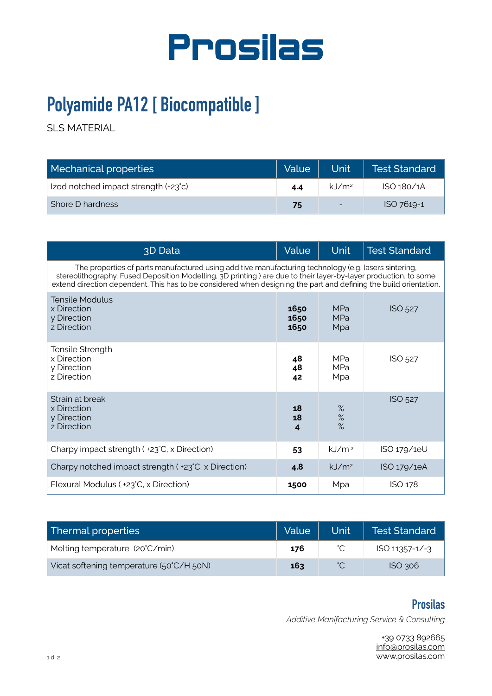

## **Polyamide PA12 [ Biocompatible ]**

SLS MATERIAL

| Mechanical properties                | Value | Unit                 | <b>Test Standard</b> |
|--------------------------------------|-------|----------------------|----------------------|
| Izod notched impact strength (+23°c) | 4.4   | $k$ J/m <sup>2</sup> | ISO 180/1A           |
| Shore D hardness                     | 75    | -                    | ISO 7619-1           |

| 3D Data                                                                                                                                                                                                                                                                                                                                      | Value                | <b>Unit</b>                     | <b>Test Standard</b> |
|----------------------------------------------------------------------------------------------------------------------------------------------------------------------------------------------------------------------------------------------------------------------------------------------------------------------------------------------|----------------------|---------------------------------|----------------------|
| The properties of parts manufactured using additive manufacturing technology (e.g. lasers sintering,<br>stereolithography, Fused Deposition Modelling, 3D printing) are due to their layer-by-layer production, to some<br>extend direction dependent. This has to be considered when designing the part and defining the build orientation. |                      |                                 |                      |
| <b>Tensile Modulus</b><br>x Direction<br>y Direction<br>z Direction                                                                                                                                                                                                                                                                          | 1650<br>1650<br>1650 | <b>MPa</b><br><b>MPa</b><br>Mpa | ISO 527              |
| Tensile Strength<br>x Direction<br>y Direction<br>z Direction                                                                                                                                                                                                                                                                                | 48<br>48<br>42       | <b>MPa</b><br><b>MPa</b><br>Mpa | <b>ISO 527</b>       |
| Strain at break<br>x Direction<br>y Direction<br>z Direction                                                                                                                                                                                                                                                                                 | 18<br>18<br>4        | %<br>%<br>$\%$                  | <b>ISO 527</b>       |
| Charpy impact strength ( +23°C, x Direction)                                                                                                                                                                                                                                                                                                 | 53                   | $k$ J/m <sup>2</sup>            | ISO 179/1eU          |
| Charpy notched impact strength ( +23°C, x Direction)                                                                                                                                                                                                                                                                                         | 4.8                  | $kJ/m^2$                        | ISO 179/1eA          |
| Flexural Modulus ( +23°C, x Direction)                                                                                                                                                                                                                                                                                                       | 1500                 | Mpa                             | ISO 178              |

| Thermal properties                       | Value | Unit l | Test Standard      |
|------------------------------------------|-------|--------|--------------------|
| Melting temperature (20°C/min)           | 176   |        | $ISO 11357 - 1/-3$ |
| Vicat softening temperature (50°C/H 50N) | 163   |        | $ISO$ 306          |

## **Prosilas**

*Additive Manifacturing Service & Consulting* 

+39 0733 892665 [info@prosilas.com](mailto:info@prosilas.com) www.prosilas.com